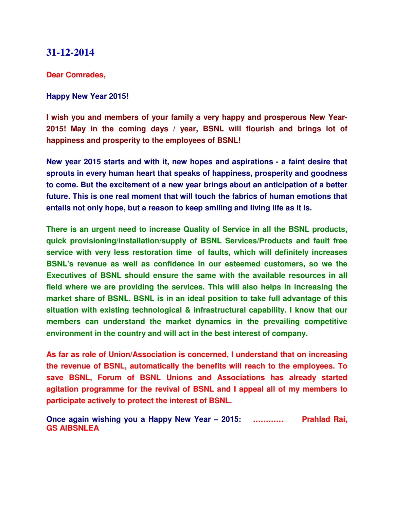#### **31-12-2014**

**Dear Comrades,**

#### **Happy New Year 2015!**

**I wish you and members of your family a very happy and prosperous New Year-2015! May in the coming days / year, BSNL will flourish and brings lot of happiness and prosperity to the employees of BSNL!**

**New year 2015 starts and with it, new hopes and aspirations - a faint desire that sprouts in every human heart that speaks of happiness, prosperity and goodness to come. But the excitement of a new year brings about an anticipation of a better future. This is one real moment that will touch the fabrics of human emotions that entails not only hope, but a reason to keep smiling and living life as it is.**

**There is an urgent need to increase Quality of Service in all the BSNL products, quick provisioning/installation/supply of BSNL Services/Products and fault free service with very less restoration time of faults, which will definitely increases BSNL's revenue as well as confidence in our esteemed customers, so we the Executives of BSNL should ensure the same with the available resources in all field where we are providing the services. This will also helps in increasing the market share of BSNL. BSNL is in an ideal position to take full advantage of this situation with existing technological & infrastructural capability. I know that our members can understand the market dynamics in the prevailing competitive environment in the country and will act in the best interest of company.** 

**As far as role of Union/Association is concerned, I understand that on increasing the revenue of BSNL, automatically the benefits will reach to the employees. To save BSNL, Forum of BSNL Unions and Associations has already started agitation programme for the revival of BSNL and I appeal all of my members to participate actively to protect the interest of BSNL.**

**Once again wishing you a Happy New Year – 2015: ………… Prahlad Rai, GS AIBSNLEA**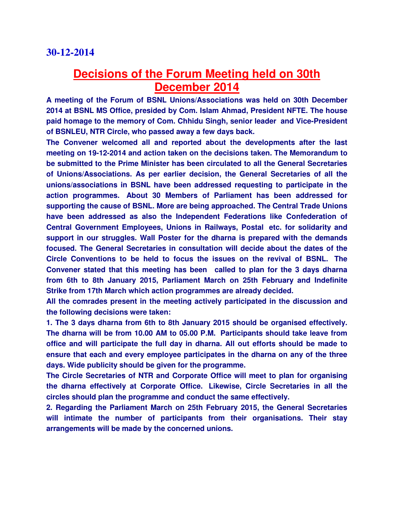# **Decisions of the Forum Meeting held on 30th December 2014**

**A meeting of the Forum of BSNL Unions/Associations was held on 30th December 2014 at BSNL MS Office, presided by Com. Islam Ahmad, President NFTE. The house paid homage to the memory of Com. Chhidu Singh, senior leader and Vice-President of BSNLEU, NTR Circle, who passed away a few days back.**

**The Convener welcomed all and reported about the developments after the last meeting on 19-12-2014 and action taken on the decisions taken. The Memorandum to be submitted to the Prime Minister has been circulated to all the General Secretaries of Unions/Associations. As per earlier decision, the General Secretaries of all the unions/associations in BSNL have been addressed requesting to participate in the action programmes. About 30 Members of Parliament has been addressed for supporting the cause of BSNL. More are being approached. The Central Trade Unions have been addressed as also the Independent Federations like Confederation of Central Government Employees, Unions in Railways, Postal etc. for solidarity and support in our struggles. Wall Poster for the dharna is prepared with the demands focused. The General Secretaries in consultation will decide about the dates of the Circle Conventions to be held to focus the issues on the revival of BSNL. The Convener stated that this meeting has been called to plan for the 3 days dharna from 6th to 8th January 2015, Parliament March on 25th February and Indefinite Strike from 17th March which action programmes are already decided.**

**All the comrades present in the meeting actively participated in the discussion and the following decisions were taken:**

**1. The 3 days dharna from 6th to 8th January 2015 should be organised effectively. The dharna will be from 10.00 AM to 05.00 P.M. Participants should take leave from office and will participate the full day in dharna. All out efforts should be made to ensure that each and every employee participates in the dharna on any of the three days. Wide publicity should be given for the programme.**

**The Circle Secretaries of NTR and Corporate Office will meet to plan for organising the dharna effectively at Corporate Office. Likewise, Circle Secretaries in all the circles should plan the programme and conduct the same effectively.**

**2. Regarding the Parliament March on 25th February 2015, the General Secretaries will intimate the number of participants from their organisations. Their stay arrangements will be made by the concerned unions.**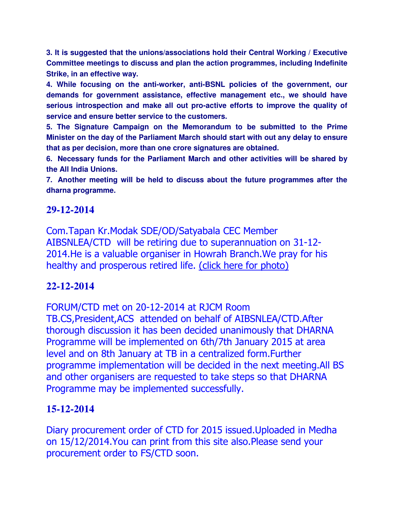**3. It is suggested that the unions/associations hold their Central Working / Executive Committee meetings to discuss and plan the action programmes, including Indefinite Strike, in an effective way.**

**4. While focusing on the anti-worker, anti-BSNL policies of the government, our demands for government assistance, effective management etc., we should have serious introspection and make all out pro-active efforts to improve the quality of service and ensure better service to the customers.**

**5. The Signature Campaign on the Memorandum to be submitted to the Prime Minister on the day of the Parliament March should start with out any delay to ensure that as per decision, more than one crore signatures are obtained.**

**6. Necessary funds for the Parliament March and other activities will be shared by the All India Unions.**

**7. Another meeting will be held to discuss about the future programmes after the dharna programme.** 

#### **29-12-2014**

Com.Tapan Kr.Modak SDE/OD/Satyabala CEC Member AIBSNLEA/CTD will be retiring due to superannuation on 31-12- 2014.He is a valuable organiser in Howrah Branch.We pray for his healthy and prosperous retired life. (click here for photo)

#### **22-12-2014**

FORUM/CTD met on 20-12-2014 at RJCM Room

TB.CS,President,ACS attended on behalf of AIBSNLEA/CTD.After thorough discussion it has been decided unanimously that DHARNA Programme will be implemented on 6th/7th January 2015 at area level and on 8th January at TB in a centralized form.Further programme implementation will be decided in the next meeting.All BS and other organisers are requested to take steps so that DHARNA Programme may be implemented successfully.

### **15-12-2014**

Diary procurement order of CTD for 2015 issued.Uploaded in Medha on 15/12/2014.You can print from this site also.Please send your procurement order to FS/CTD soon.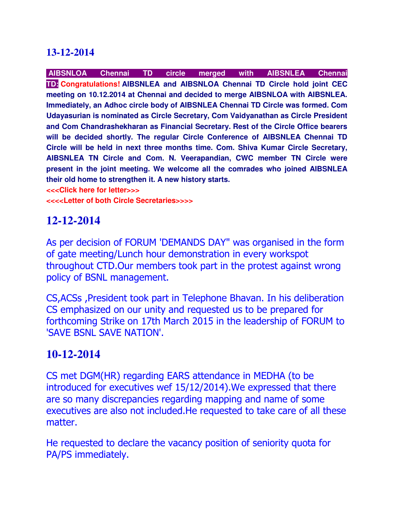### **13-12-2014**

**AIBSNLOA Chennai TD circle merged with AIBSNLEA Chennai TD: Congratulations! AIBSNLEA and AIBSNLOA Chennai TD Circle hold joint CEC meeting on 10.12.2014 at Chennai and decided to merge AIBSNLOA with AIBSNLEA. Immediately, an Adhoc circle body of AIBSNLEA Chennai TD Circle was formed. Com Udayasurian is nominated as Circle Secretary, Com Vaidyanathan as Circle President and Com Chandrashekharan as Financial Secretary. Rest of the Circle Office bearers will be decided shortly. The regular Circle Conference of AIBSNLEA Chennai TD Circle will be held in next three months time. Com. Shiva Kumar Circle Secretary, AIBSNLEA TN Circle and Com. N. Veerapandian, CWC member TN Circle were present in the joint meeting. We welcome all the comrades who joined AIBSNLEA their old home to strengthen it. A new history starts.** 

**<<<Click here for letter>>>**

**<<<<Letter of both Circle Secretaries>>>>**

## **12-12-2014**

As per decision of FORUM 'DEMANDS DAY" was organised in the form of gate meeting/Lunch hour demonstration in every workspot throughout CTD.Our members took part in the protest against wrong policy of BSNL management.

CS,ACSs ,President took part in Telephone Bhavan. In his deliberation CS emphasized on our unity and requested us to be prepared for forthcoming Strike on 17th March 2015 in the leadership of FORUM to 'SAVE BSNL SAVE NATION'.

## **10-12-2014**

CS met DGM(HR) regarding EARS attendance in MEDHA (to be introduced for executives wef 15/12/2014).We expressed that there are so many discrepancies regarding mapping and name of some executives are also not included.He requested to take care of all these matter.

He requested to declare the vacancy position of seniority quota for PA/PS immediately.